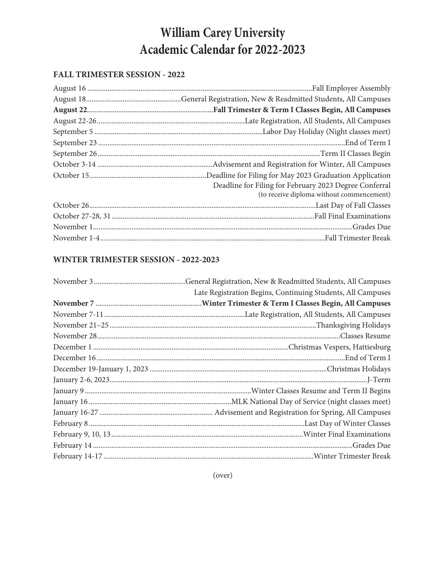# **William Carey University Academic Calendar for 2022-2023**

#### **FALL TRIMESTER SESSION - 2022**

| Deadline for Filing for February 2023 Degree Conferral<br>(to receive diploma without commencement) |
|-----------------------------------------------------------------------------------------------------|
|                                                                                                     |
|                                                                                                     |
|                                                                                                     |
|                                                                                                     |

## **WINTER TRIMESTER SESSION - 2022-2023**

| Late Registration Begins, Continuing Students, All Campuses |
|-------------------------------------------------------------|
|                                                             |
|                                                             |
|                                                             |
|                                                             |
|                                                             |
|                                                             |
|                                                             |
|                                                             |
|                                                             |
|                                                             |
|                                                             |
|                                                             |
|                                                             |
|                                                             |
|                                                             |